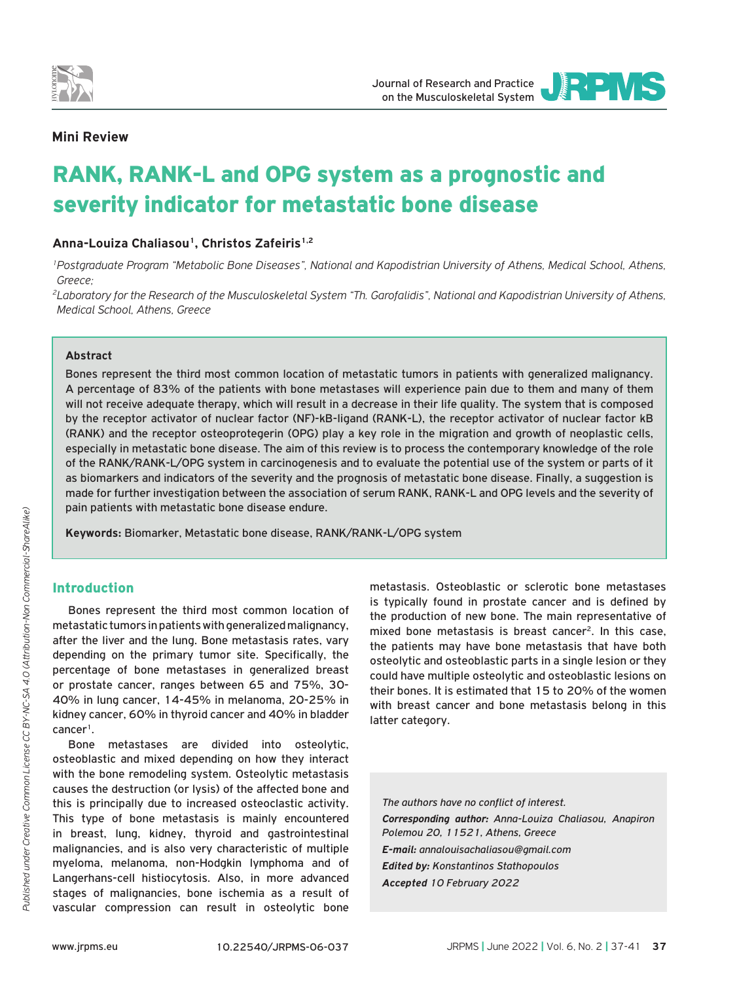

**IRPVS** Journal of Research and Practice on the Musculoskeletal System

JOURNAL OF RESEARCH AND PRACTICE

## **Mini Review**

# RANK, RANK-L and OPG system as a prognostic and severity indicator for metastatic bone disease

Anna-Louiza Chaliasou<sup>1</sup>, Christos Zafeiris<sup>1,2</sup>

*1Postgraduate Program "Metabolic Bone Diseases", National and Kapodistrian University of Athens, Medical School, Athens, Greece;*

*2Laboratory for the Research of the Musculoskeletal System "Th. Garofalidis", National and Kapodistrian University of Athens, Medical School, Athens, Greece*

#### **Abstract**

Bones represent the third most common location of metastatic tumors in patients with generalized malignancy. A percentage of 83% of the patients with bone metastases will experience pain due to them and many of them will not receive adequate therapy, which will result in a decrease in their life quality. The system that is composed by the receptor activator of nuclear factor (NF)-kΒ-ligand (RANK-L), the receptor activator of nuclear factor kB (RANK) and the receptor osteoprotegerin (OPG) play a key role in the migration and growth of neoplastic cells, especially in metastatic bone disease. The aim of this review is to process the contemporary knowledge of the role of the RANK/RANK-L/OPG system in carcinogenesis and to evaluate the potential use of the system or parts of it as biomarkers and indicators of the severity and the prognosis of metastatic bone disease. Finally, a suggestion is made for further investigation between the association of serum RANK, RANK-L and OPG levels and the severity of pain patients with metastatic bone disease endure.

**Keywords:** Biomarker, Metastatic bone disease, RANK/RANK-L/OPG system

## Introduction

Bones represent the third most common location of metastatic tumors in patients with generalized malignancy, after the liver and the lung. Bone metastasis rates, vary depending on the primary tumor site. Specifically, the percentage of bone metastases in generalized breast or prostate cancer, ranges between 65 and 75%, 30- 40% in lung cancer, 14-45% in melanoma, 20-25% in kidney cancer, 60% in thyroid cancer and 40% in bladder  $cancer<sup>1</sup>$ .

Bone metastases are divided into osteolytic, osteoblastic and mixed depending on how they interact with the bone remodeling system. Osteolytic metastasis causes the destruction (or lysis) of the affected bone and this is principally due to increased osteoclastic activity. This type of bone metastasis is mainly encountered in breast, lung, kidney, thyroid and gastrointestinal malignancies, and is also very characteristic of multiple myeloma, melanoma, non-Hodgkin lymphoma and of Langerhans-cell histiocytosis. Also, in more advanced stages of malignancies, bone ischemia as a result of vascular compression can result in osteolytic bone

metastasis. Osteoblastic or sclerotic bone metastases is typically found in prostate cancer and is defined by the production of new bone. The main representative of mixed bone metastasis is breast cancer<sup>2</sup>. In this case, the patients may have bone metastasis that have both osteolytic and osteoblastic parts in a single lesion or they could have multiple osteolytic and osteoblastic lesions on their bones. It is estimated that 15 to 20% of the women with breast cancer and bone metastasis belong in this latter category.

*The authors have no conflict of interest. Corresponding author: Anna-Louiza Chaliasou, Anapiron Polemou 20, 11521, Athens, Greece E-mail: annalouisachaliasou@gmail.com Edited by: Konstantinos Stathopoulos Accepted 10 February 2022*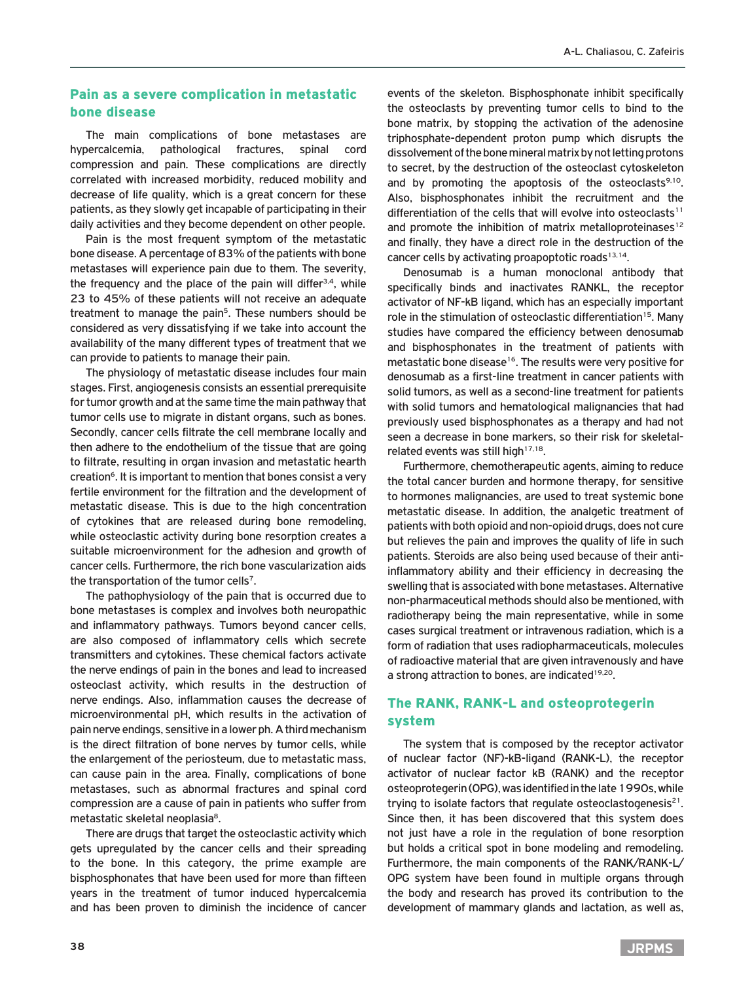## Pain as a severe complication in metastatic bone disease

The main complications of bone metastases are hypercalcemia, pathological fractures, spinal cord compression and pain. These complications are directly correlated with increased morbidity, reduced mobility and decrease of life quality, which is a great concern for these patients, as they slowly get incapable of participating in their daily activities and they become dependent on other people.

Pain is the most frequent symptom of the metastatic bone disease. A percentage of 83% of the patients with bone metastases will experience pain due to them. The severity, the frequency and the place of the pain will differ<sup>3,4</sup>, while 23 to 45% of these patients will not receive an adequate treatment to manage the pain<sup>5</sup>. These numbers should be considered as very dissatisfying if we take into account the availability of the many different types of treatment that we can provide to patients to manage their pain.

The physiology of metastatic disease includes four main stages. First, angiogenesis consists an essential prerequisite for tumor growth and at the same time the main pathway that tumor cells use to migrate in distant organs, such as bones. Secondly, cancer cells filtrate the cell membrane locally and then adhere to the endothelium of the tissue that are going to filtrate, resulting in organ invasion and metastatic hearth creation<sup>6</sup>. It is important to mention that bones consist a very fertile environment for the filtration and the development of metastatic disease. This is due to the high concentration of cytokines that are released during bone remodeling, while osteoclastic activity during bone resorption creates a suitable microenvironment for the adhesion and growth of cancer cells. Furthermore, the rich bone vascularization aids the transportation of the tumor cells<sup>7</sup>.

The pathophysiology of the pain that is occurred due to bone metastases is complex and involves both neuropathic and inflammatory pathways. Tumors beyond cancer cells, are also composed of inflammatory cells which secrete transmitters and cytokines. These chemical factors activate the nerve endings of pain in the bones and lead to increased osteoclast activity, which results in the destruction of nerve endings. Also, inflammation causes the decrease of microenvironmental pΗ, which results in the activation of pain nerve endings, sensitive in a lower ph. A third mechanism is the direct filtration of bone nerves by tumor cells, while the enlargement of the periosteum, due to metastatic mass, can cause pain in the area. Finally, complications of bone metastases, such as abnormal fractures and spinal cord compression are a cause of pain in patients who suffer from metastatic skeletal neoplasia<sup>8</sup>.

There are drugs that target the osteoclastic activity which gets upregulated by the cancer cells and their spreading to the bone. In this category, the prime example are bisphosphonates that have been used for more than fifteen years in the treatment of tumor induced hypercalcemia and has been proven to diminish the incidence of cancer

events of the skeleton. Bisphosphonate inhibit specifically the osteoclasts by preventing tumor cells to bind to the bone matrix, by stopping the activation of the adenosine triphosphate-dependent proton pump which disrupts the dissolvement of the bone mineral matrix by not letting protons to secret, by the destruction of the osteoclast cytoskeleton and by promoting the apoptosis of the osteoclasts $9,10$ . Also, bisphosphonates inhibit the recruitment and the differentiation of the cells that will evolve into osteoclasts<sup>11</sup> and promote the inhibition of matrix metalloproteinases<sup>12</sup> and finally, they have a direct role in the destruction of the cancer cells by activating proapoptotic roads $13,14$ .

Denosumab is a human monoclonal antibody that specifically binds and inactivates RANKL, the receptor activator of NF-kB ligand, which has an especially important role in the stimulation of osteoclastic differentiation<sup>15</sup>. Many studies have compared the efficiency between denosumab and bisphosphonates in the treatment of patients with metastatic bone disease<sup>16</sup>. The results were very positive for denosumab as a first-line treatment in cancer patients with solid tumors, as well as a second-line treatment for patients with solid tumors and hematological malignancies that had previously used bisphosphonates as a therapy and had not seen a decrease in bone markers, so their risk for skeletalrelated events was still high<sup>17,18</sup>.

Furthermore, chemotherapeutic agents, aiming to reduce the total cancer burden and hormone therapy, for sensitive to hormones malignancies, are used to treat systemic bone metastatic disease. In addition, the analgetic treatment of patients with both opioid and non-opioid drugs, does not cure but relieves the pain and improves the quality of life in such patients. Steroids are also being used because of their antiinflammatory ability and their efficiency in decreasing the swelling that is associated with bone metastases. Alternative non-pharmaceutical methods should also be mentioned, with radiotherapy being the main representative, while in some cases surgical treatment or intravenous radiation, which is a form of radiation that uses radiopharmaceuticals, molecules of radioactive material that are given intravenously and have a strong attraction to bones, are indicated<sup>19,20</sup>.

# The RANK, RANK-L and osteoprotegerin system

The system that is composed by the receptor activator of nuclear factor (NF)-kΒ-ligand (RANK-L), the receptor activator of nuclear factor kB (RANK) and the receptor osteoprotegerin (OPG), was identified in the late 1990s, while trying to isolate factors that regulate osteoclastogenesis $21$ . Since then, it has been discovered that this system does not just have a role in the regulation of bone resorption but holds a critical spot in bone modeling and remodeling. Furthermore, the main components of the RANK/RANK-L/ OPG system have been found in multiple organs through the body and research has proved its contribution to the development of mammary glands and lactation, as well as,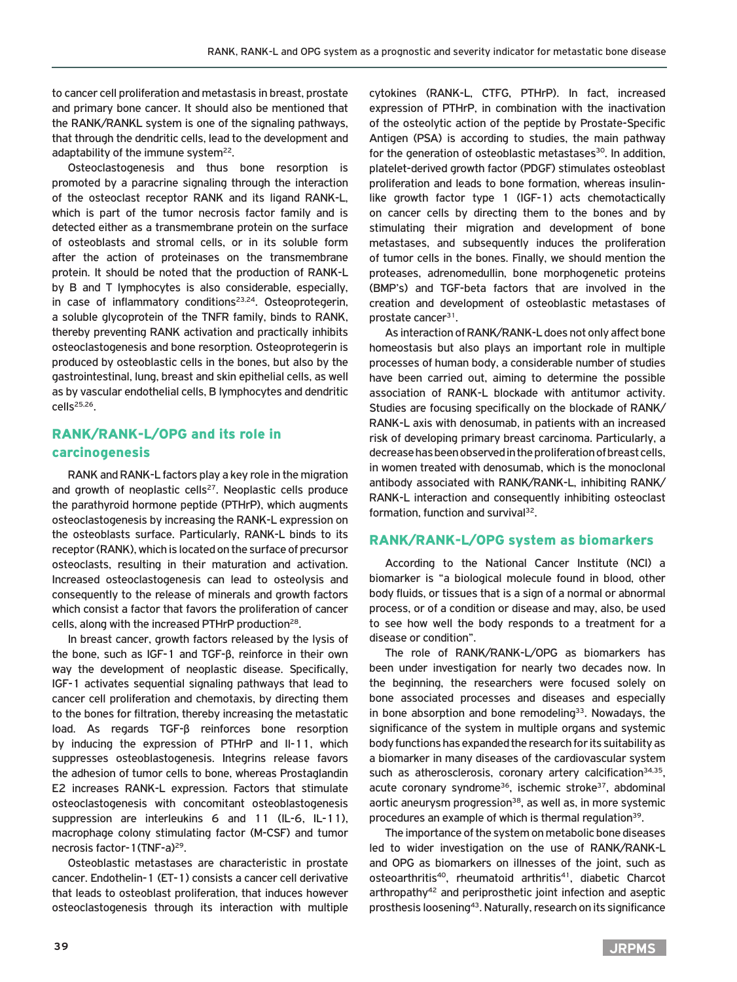to cancer cell proliferation and metastasis in breast, prostate and primary bone cancer. It should also be mentioned that the RANK/RANKL system is one of the signaling pathways, that through the dendritic cells, lead to the development and adaptability of the immune system $^{22}$ .

Osteoclastogenesis and thus bone resorption is promoted by a paracrine signaling through the interaction of the osteoclast receptor RANK and its ligand RANK-L, which is part of the tumor necrosis factor family and is detected either as a transmembrane protein on the surface of osteoblasts and stromal cells, or in its soluble form after the action of proteinases on the transmembrane protein. It should be noted that the production of RANK-L by B and T lymphocytes is also considerable, especially, in case of inflammatory conditions<sup>23,24</sup>. Osteoprotegerin, a soluble glycoprotein of the TNFR family, binds to RANK, thereby preventing RANK activation and practically inhibits osteoclastogenesis and bone resorption. Osteoprotegerin is produced by osteoblastic cells in the bones, but also by the gastrointestinal, lung, breast and skin epithelial cells, as well as by vascular endothelial cells, B lymphocytes and dendritic  $cells<sup>25,26</sup>$ .

## RANK/RANK-L/OPG and its role in carcinogenesis

RANK and RANK-L factors play a key role in the migration and growth of neoplastic cells<sup>27</sup>. Neoplastic cells produce the parathyroid hormone peptide (PTHrP), which augments osteoclastogenesis by increasing the RANK-L expression on the osteoblasts surface. Particularly, RANK-L binds to its receptor (RANK), which is located on the surface of precursor osteoclasts, resulting in their maturation and activation. Increased osteoclastogenesis can lead to osteolysis and consequently to the release of minerals and growth factors which consist a factor that favors the proliferation of cancer cells, along with the increased PTHrP production28.

In breast cancer, growth factors released by the lysis of the bone, such as IGF-1 and TGF-β, reinforce in their own way the development of neoplastic disease. Specifically, IGF-1 activates sequential signaling pathways that lead to cancer cell proliferation and chemotaxis, by directing them to the bones for filtration, thereby increasing the metastatic load. As regards TGF-β reinforces bone resorption by inducing the expression of PTHrP and Il-11, which suppresses osteoblastogenesis. Integrins release favors the adhesion of tumor cells to bone, whereas Prostaglandin E2 increases RANK-L expression. Factors that stimulate osteoclastogenesis with concomitant osteoblastogenesis suppression are interleukins 6 and 11 (IL-6, IL-11), macrophage colony stimulating factor (M-CSF) and tumor necrosis factor-1(TNF-a)29.

Osteoblastic metastases are characteristic in prostate cancer. Endothelin-1 (ET-1) consists a cancer cell derivative that leads to osteoblast proliferation, that induces however osteoclastogenesis through its interaction with multiple cytokines (RANK-L, CTFG, PTHrP). In fact, increased expression of PTHrP, in combination with the inactivation of the osteolytic action of the peptide by Prostate-Specific Antigen (PSA) is according to studies, the main pathway for the generation of osteoblastic metastases<sup>30</sup>. In addition, platelet-derived growth factor (PDGF) stimulates osteoblast proliferation and leads to bone formation, whereas insulinlike growth factor type 1 (IGF-1) acts chemotactically on cancer cells by directing them to the bones and by stimulating their migration and development of bone metastases, and subsequently induces the proliferation of tumor cells in the bones. Finally, we should mention the proteases, adrenomedullin, bone morphogenetic proteins (BMP's) and TGF-beta factors that are involved in the creation and development of osteoblastic metastases of prostate cancer<sup>31</sup>.

As interaction of RANK/RANK-L does not only affect bone homeostasis but also plays an important role in multiple processes of human body, a considerable number of studies have been carried out, aiming to determine the possible association of RANK-L blockade with antitumor activity. Studies are focusing specifically on the blockade of RANK/ RANK-L axis with denosumab, in patients with an increased risk of developing primary breast carcinoma. Particularly, a decrease has been observed in the proliferation of breast cells, in women treated with denosumab, which is the monoclonal antibody associated with RANK/RANK-L, inhibiting RANK/ RANK-L interaction and consequently inhibiting osteoclast formation, function and survival $32$ .

## RANK/RANK-L/OPG system as biomarkers

According to the National Cancer Institute (NCI) a biomarker is "a biological molecule found in blood, other body fluids, or tissues that is a sign of a normal or abnormal process, or of a condition or disease and may, also, be used to see how well the body responds to a treatment for a disease or condition".

The role of RANK/RANK-L/OPG as biomarkers has been under investigation for nearly two decades now. In the beginning, the researchers were focused solely on bone associated processes and diseases and especially in bone absorption and bone remodeling<sup>33</sup>. Nowadays, the significance of the system in multiple organs and systemic body functions has expanded the research for its suitability as a biomarker in many diseases of the cardiovascular system such as atherosclerosis, coronary artery calcification $34,35$ , acute coronary syndrome<sup>36</sup>, ischemic stroke<sup>37</sup>, abdominal aortic aneurysm progression<sup>38</sup>, as well as, in more systemic procedures an example of which is thermal regulation<sup>39</sup>.

The importance of the system on metabolic bone diseases led to wider investigation on the use of RANK/RANK-L and OPG as biomarkers on illnesses of the joint, such as osteoarthritis<sup>40</sup>, rheumatoid arthritis<sup>41</sup>, diabetic Charcot arthropathy<sup>42</sup> and periprosthetic joint infection and aseptic prosthesis loosening43. Naturally, research on its significance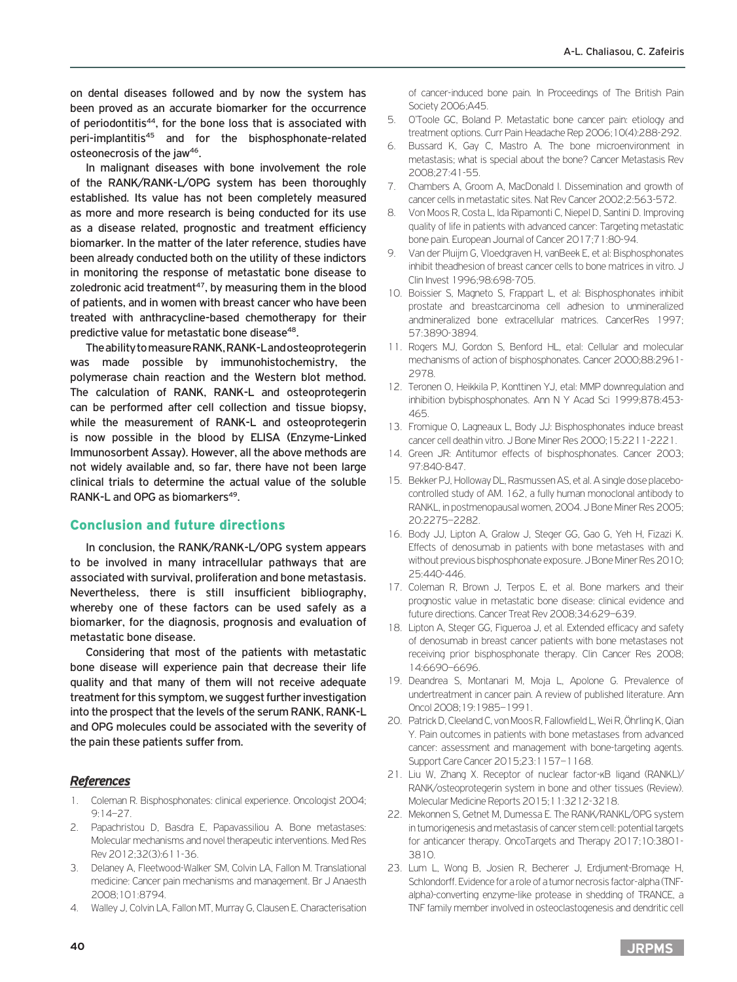on dental diseases followed and by now the system has been proved as an accurate biomarker for the occurrence of periodontitis<sup>44</sup>, for the bone loss that is associated with peri-implantitis45 and for the bisphosphonate-related osteonecrosis of the jaw<sup>46</sup>.

In malignant diseases with bone involvement the role of the RANK/RANK-L/OPG system has been thoroughly established. Its value has not been completely measured as more and more research is being conducted for its use as a disease related, prognostic and treatment efficiency biomarker. In the matter of the later reference, studies have been already conducted both on the utility of these indictors in monitoring the response of metastatic bone disease to zoledronic acid treatment $47$ , by measuring them in the blood of patients, and in women with breast cancer who have been treated with anthracycline-based chemotherapy for their predictive value for metastatic bone disease<sup>48</sup>.

The ability to measure RANK, RANK-L and osteoprotegerin was made possible by immunohistochemistry, the polymerase chain reaction and the Western blot method. The calculation of RANK, RANK-L and osteoprotegerin can be performed after cell collection and tissue biopsy, while the measurement of RANK-L and osteoprotegerin is now possible in the blood by ELISA (Enzyme-Linked Immunosorbent Assay). However, all the above methods are not widely available and, so far, there have not been large clinical trials to determine the actual value of the soluble RANK-L and OPG as biomarkers<sup>49</sup>.

## Conclusion and future directions

In conclusion, the RANK/RANK-L/OPG system appears to be involved in many intracellular pathways that are associated with survival, proliferation and bone metastasis. Nevertheless, there is still insufficient bibliography, whereby one of these factors can be used safely as a biomarker, for the diagnosis, prognosis and evaluation of metastatic bone disease.

Considering that most of the patients with metastatic bone disease will experience pain that decrease their life quality and that many of them will not receive adequate treatment for this symptom, we suggest further investigation into the prospect that the levels of the serum RANK, RANK-L and OPG molecules could be associated with the severity of the pain these patients suffer from.

## *References*

- 1. Coleman R. Bisphosphonates: clinical experience. Oncologist 2004; 9:14–27.
- 2. Papachristou D, Basdra E, Papavassiliou A. Bone metastases: Molecular mechanisms and novel therapeutic interventions. Med Res Rev 2012;32(3):611-36.
- 3. Delaney A, Fleetwood-Walker SM, Colvin LA, Fallon M. Translational medicine: Cancer pain mechanisms and management. Br J Anaesth 2008;101:8794.
- 4. Walley J, Colvin LA, Fallon MT, Murray G, Clausen E. Characterisation

of cancer-induced bone pain. In Proceedings of The British Pain Society 2006;A45.

- 5. O'Toole GC, Boland P. Metastatic bone cancer pain: etiology and treatment options. Curr Pain Headache Rep 2006;10(4):288-292.
- 6. Bussard K, Gay C, Mastro A. The bone microenvironment in metastasis; what is special about the bone? Cancer Metastasis Rev 2008;27:41-55.
- 7. Chambers A, Groom A, MacDonald I. Dissemination and growth of cancer cells in metastatic sites. Nat Rev Cancer 2002;2:563-572.
- 8. Von Moos R, Costa L, Ida Ripamonti C, Niepel D, Santini D. Improving quality of life in patients with advanced cancer: Targeting metastatic bone pain. European Journal of Cancer 2017;71:80-94.
- 9. Van der Pluijm G, Vloedgraven H, vanBeek E, et al: Bisphosphonates inhibit theadhesion of breast cancer cells to bone matrices in vitro. J Clin Invest 1996;98:698-705.
- 10. Boissier S, Magneto S, Frappart L, et al: Bisphosphonates inhibit prostate and breastcarcinoma cell adhesion to unmineralized andmineralized bone extracellular matrices. CancerRes 1997; 57:3890-3894.
- 11. Rogers MJ, Gordon S, Benford HL, etal: Cellular and molecular mechanisms of action of bisphosphonates. Cancer 2000;88:2961- 2978.
- 12. Teronen O, Heikkila P, Konttinen YJ, etal: MMP downregulation and inhibition bybisphosphonates. Ann N Y Acad Sci 1999;878:453- 465.
- 13. Fromigue O, Lagneaux L, Body JJ: Bisphosphonates induce breast cancer cell deathin vitro. J Bone Miner Res 2000;15:2211-2221.
- 14. Green JR: Antitumor effects of bisphosphonates. Cancer 2003; 97:840-847.
- 15. Bekker PJ, Holloway DL, Rasmussen AS, et al. A single dose placebocontrolled study of AM. 162, a fully human monoclonal antibody to RANKL, in postmenopausal women, 2004. J Bone Miner Res 2005; 20:2275–2282.
- 16. Body JJ, Lipton A, Gralow J, Steger GG, Gao G, Yeh H, Fizazi K. Effects of denosumab in patients with bone metastases with and without previous bisphosphonate exposure. J Bone Miner Res 2010; 25:440-446.
- 17. Coleman R, Brown J, Terpos E, et al. Bone markers and their prognostic value in metastatic bone disease: clinical evidence and future directions. Cancer Treat Rev 2008;34:629–639.
- 18. Lipton A, Steger GG, Figueroa J, et al. Extended efficacy and safety of denosumab in breast cancer patients with bone metastases not receiving prior bisphosphonate therapy. Clin Cancer Res 2008; 14:6690–6696.
- 19. Deandrea S, Montanari M, Moja L, Apolone G. Prevalence of undertreatment in cancer pain. A review of published literature. Ann Oncol 2008;19:1985–1991.
- 20. Patrick D, Cleeland C, von Moos R, Fallowfield L, Wei R, Öhrling K, Qian Y. Pain outcomes in patients with bone metastases from advanced cancer: assessment and management with bone-targeting agents. Support Care Cancer 2015;23:1157–1168.
- 21. Liu W, Zhang X. Receptor of nuclear factor-κB ligand (RANKL)/ RANK/osteoprotegerin system in bone and other tissues (Review). Molecular Medicine Reports 2015;11:3212-3218.
- 22. Mekonnen S, Getnet M, Dumessa E. The RANK/RANKL/OPG system in tumorigenesis and metastasis of cancer stem cell: potential targets for anticancer therapy. OncoTargets and Therapy 2017;10:3801- 3810.
- 23. Lum L, Wong B, Josien R, Becherer J, Erdjument-Bromage H, Schlondorff. Evidence for a role of a tumor necrosis factor-alpha (TNFalpha)-converting enzyme-like protease in shedding of TRANCE, a TNF family member involved in osteoclastogenesis and dendritic cell